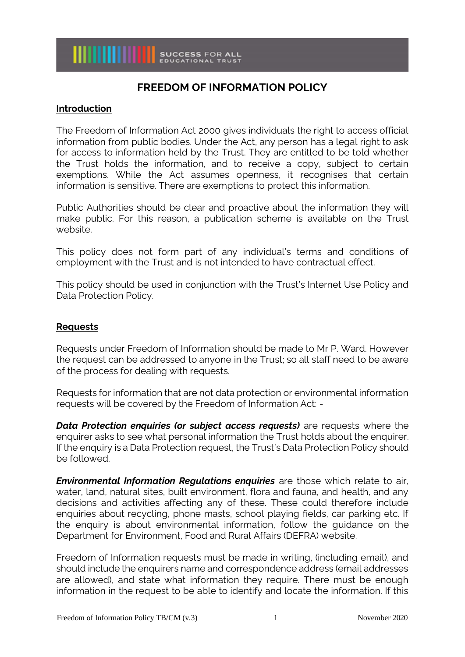# **FREEDOM OF INFORMATION POLICY**

## **Introduction**

The Freedom of Information Act 2000 gives individuals the right to access official information from public bodies. Under the Act, any person has a legal right to ask for access to information held by the Trust. They are entitled to be told whether the Trust holds the information, and to receive a copy, subject to certain exemptions. While the Act assumes openness, it recognises that certain information is sensitive. There are exemptions to protect this information.

Public Authorities should be clear and proactive about the information they will make public. For this reason, a publication scheme is available on the Trust website.

This policy does not form part of any individual's terms and conditions of employment with the Trust and is not intended to have contractual effect.

This policy should be used in conjunction with the Trust's Internet Use Policy and Data Protection Policy.

## **Requests**

Requests under Freedom of Information should be made to Mr P. Ward. However the request can be addressed to anyone in the Trust; so all staff need to be aware of the process for dealing with requests.

Requests for information that are not data protection or environmental information requests will be covered by the Freedom of Information Act: -

*Data Protection enquiries (or subject access requests)* are requests where the enquirer asks to see what personal information the Trust holds about the enquirer. If the enquiry is a Data Protection request, the Trust's Data Protection Policy should be followed.

*Environmental Information Regulations enquiries* are those which relate to air, water, land, natural sites, built environment, flora and fauna, and health, and any decisions and activities affecting any of these. These could therefore include enquiries about recycling, phone masts, school playing fields, car parking etc. If the enquiry is about environmental information, follow the guidance on the Department for Environment, Food and Rural Affairs (DEFRA) website.

Freedom of Information requests must be made in writing, (including email), and should include the enquirers name and correspondence address (email addresses are allowed), and state what information they require. There must be enough information in the request to be able to identify and locate the information. If this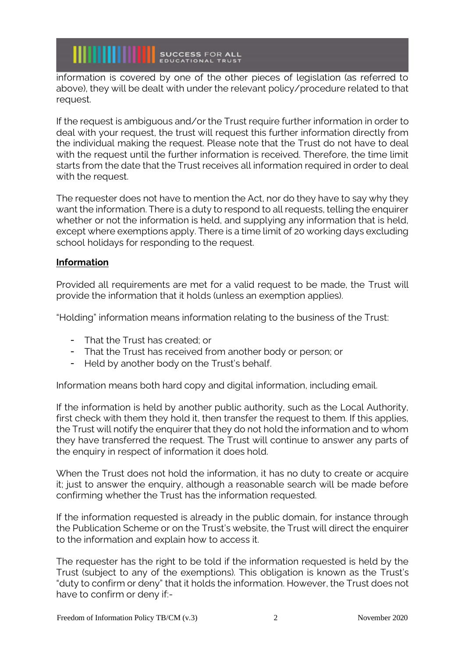**WILLIAM SUCCESS FOR ALL** 

information is covered by one of the other pieces of legislation (as referred to above), they will be dealt with under the relevant policy/procedure related to that request.

If the request is ambiguous and/or the Trust require further information in order to deal with your request, the trust will request this further information directly from the individual making the request. Please note that the Trust do not have to deal with the request until the further information is received. Therefore, the time limit starts from the date that the Trust receives all information required in order to deal with the request.

The requester does not have to mention the Act, nor do they have to say why they want the information. There is a duty to respond to all requests, telling the enquirer whether or not the information is held, and supplying any information that is held, except where exemptions apply. There is a time limit of 20 working days excluding school holidays for responding to the request.

## **Information**

Provided all requirements are met for a valid request to be made, the Trust will provide the information that it holds (unless an exemption applies).

"Holding" information means information relating to the business of the Trust:

- That the Trust has created; or
- That the Trust has received from another body or person; or
- Held by another body on the Trust's behalf.

Information means both hard copy and digital information, including email.

If the information is held by another public authority, such as the Local Authority, first check with them they hold it, then transfer the request to them. If this applies, the Trust will notify the enquirer that they do not hold the information and to whom they have transferred the request. The Trust will continue to answer any parts of the enquiry in respect of information it does hold.

When the Trust does not hold the information, it has no duty to create or acquire it; just to answer the enquiry, although a reasonable search will be made before confirming whether the Trust has the information requested.

If the information requested is already in the public domain, for instance through the Publication Scheme or on the Trust's website, the Trust will direct the enquirer to the information and explain how to access it.

The requester has the right to be told if the information requested is held by the Trust (subject to any of the exemptions). This obligation is known as the Trust's "duty to confirm or deny" that it holds the information. However, the Trust does not have to confirm or deny if:-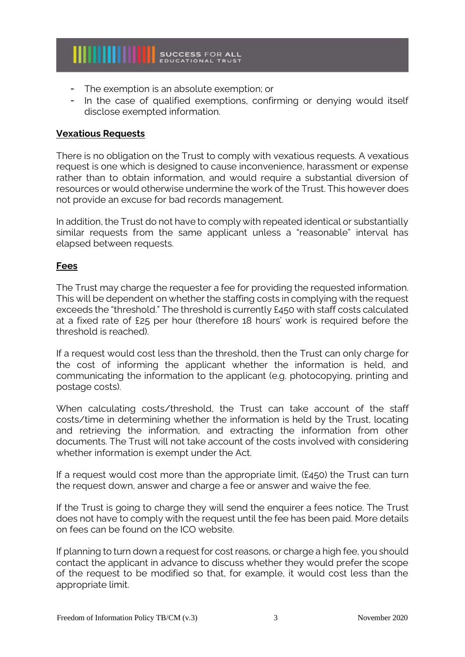

- The exemption is an absolute exemption; or
- In the case of qualified exemptions, confirming or denying would itself disclose exempted information.

#### **Vexatious Requests**

There is no obligation on the Trust to comply with vexatious requests. A vexatious request is one which is designed to cause inconvenience, harassment or expense rather than to obtain information, and would require a substantial diversion of resources or would otherwise undermine the work of the Trust. This however does not provide an excuse for bad records management.

In addition, the Trust do not have to comply with repeated identical or substantially similar requests from the same applicant unless a "reasonable" interval has elapsed between requests.

## **Fees**

The Trust may charge the requester a fee for providing the requested information. This will be dependent on whether the staffing costs in complying with the request exceeds the "threshold." The threshold is currently £450 with staff costs calculated at a fixed rate of £25 per hour (therefore 18 hours' work is required before the threshold is reached).

If a request would cost less than the threshold, then the Trust can only charge for the cost of informing the applicant whether the information is held, and communicating the information to the applicant (e.g. photocopying, printing and postage costs).

When calculating costs/threshold, the Trust can take account of the staff costs/time in determining whether the information is held by the Trust, locating and retrieving the information, and extracting the information from other documents. The Trust will not take account of the costs involved with considering whether information is exempt under the Act.

If a request would cost more than the appropriate limit, (£450) the Trust can turn the request down, answer and charge a fee or answer and waive the fee.

If the Trust is going to charge they will send the enquirer a fees notice. The Trust does not have to comply with the request until the fee has been paid. More details on fees can be found on the ICO website.

If planning to turn down a request for cost reasons, or charge a high fee, you should contact the applicant in advance to discuss whether they would prefer the scope of the request to be modified so that, for example, it would cost less than the appropriate limit.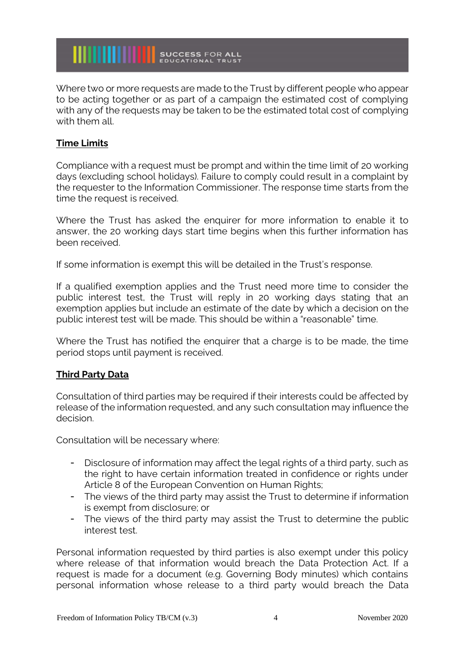

Where two or more requests are made to the Trust by different people who appear to be acting together or as part of a campaign the estimated cost of complying with any of the requests may be taken to be the estimated total cost of complying with them all.

# **Time Limits**

Compliance with a request must be prompt and within the time limit of 20 working days (excluding school holidays). Failure to comply could result in a complaint by the requester to the Information Commissioner. The response time starts from the time the request is received.

Where the Trust has asked the enquirer for more information to enable it to answer, the 20 working days start time begins when this further information has been received.

If some information is exempt this will be detailed in the Trust's response.

If a qualified exemption applies and the Trust need more time to consider the public interest test, the Trust will reply in 20 working days stating that an exemption applies but include an estimate of the date by which a decision on the public interest test will be made. This should be within a "reasonable" time.

Where the Trust has notified the enquirer that a charge is to be made, the time period stops until payment is received.

# **Third Party Data**

Consultation of third parties may be required if their interests could be affected by release of the information requested, and any such consultation may influence the decision.

Consultation will be necessary where:

- Disclosure of information may affect the legal rights of a third party, such as the right to have certain information treated in confidence or rights under Article 8 of the European Convention on Human Rights;
- The views of the third party may assist the Trust to determine if information is exempt from disclosure; or
- The views of the third party may assist the Trust to determine the public interest test.

Personal information requested by third parties is also exempt under this policy where release of that information would breach the Data Protection Act. If a request is made for a document (e.g. Governing Body minutes) which contains personal information whose release to a third party would breach the Data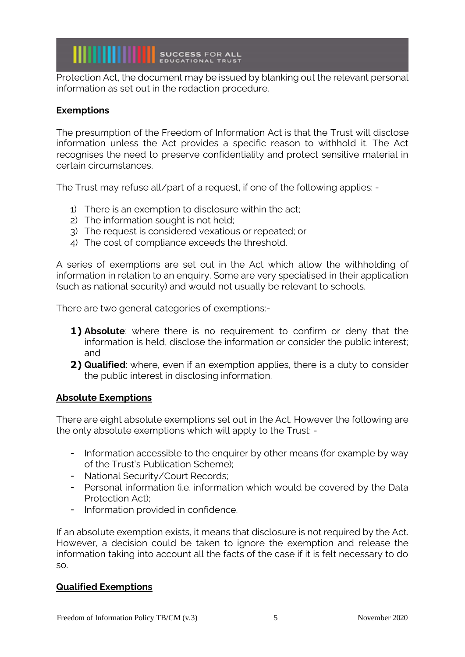**WILLIAM SUCCESS FOR ALL** 

Protection Act, the document may be issued by blanking out the relevant personal information as set out in the redaction procedure.

## **Exemptions**

The presumption of the Freedom of Information Act is that the Trust will disclose information unless the Act provides a specific reason to withhold it. The Act recognises the need to preserve confidentiality and protect sensitive material in certain circumstances.

The Trust may refuse all/part of a request, if one of the following applies: -

- 1) There is an exemption to disclosure within the act;
- 2) The information sought is not held;
- 3) The request is considered vexatious or repeated; or
- 4) The cost of compliance exceeds the threshold.

A series of exemptions are set out in the Act which allow the withholding of information in relation to an enquiry. Some are very specialised in their application (such as national security) and would not usually be relevant to schools.

There are two general categories of exemptions:-

- **1) Absolute**: where there is no requirement to confirm or deny that the information is held, disclose the information or consider the public interest; and
- **2) Qualified**: where, even if an exemption applies, there is a duty to consider the public interest in disclosing information.

### **Absolute Exemptions**

There are eight absolute exemptions set out in the Act. However the following are the only absolute exemptions which will apply to the Trust: -

- Information accessible to the enquirer by other means (for example by way of the Trust's Publication Scheme);
- National Security/Court Records;
- Personal information (i.e. information which would be covered by the Data Protection Act);
- Information provided in confidence.

If an absolute exemption exists, it means that disclosure is not required by the Act. However, a decision could be taken to ignore the exemption and release the information taking into account all the facts of the case if it is felt necessary to do so.

### **Qualified Exemptions**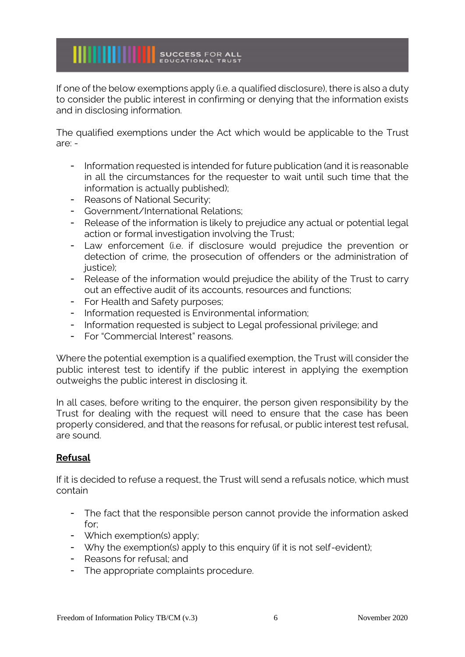If one of the below exemptions apply (i.e. a qualified disclosure), there is also a duty to consider the public interest in confirming or denying that the information exists and in disclosing information.

The qualified exemptions under the Act which would be applicable to the Trust are: -

- Information requested is intended for future publication (and it is reasonable in all the circumstances for the requester to wait until such time that the information is actually published);
- Reasons of National Security;
- Government/International Relations;

**WILLIAM SUCCESS FOR ALL** 

- Release of the information is likely to prejudice any actual or potential legal action or formal investigation involving the Trust;
- Law enforcement (i.e. if disclosure would prejudice the prevention or detection of crime, the prosecution of offenders or the administration of justice);
- Release of the information would prejudice the ability of the Trust to carry out an effective audit of its accounts, resources and functions;
- For Health and Safety purposes;
- Information requested is Environmental information;
- Information requested is subject to Legal professional privilege; and
- For "Commercial Interest" reasons.

Where the potential exemption is a qualified exemption, the Trust will consider the public interest test to identify if the public interest in applying the exemption outweighs the public interest in disclosing it.

In all cases, before writing to the enquirer, the person given responsibility by the Trust for dealing with the request will need to ensure that the case has been properly considered, and that the reasons for refusal, or public interest test refusal, are sound.

# **Refusal**

If it is decided to refuse a request, the Trust will send a refusals notice, which must contain

- The fact that the responsible person cannot provide the information asked for;
- Which exemption(s) apply;
- Why the exemption(s) apply to this enquiry (if it is not self-evident);
- Reasons for refusal; and
- The appropriate complaints procedure.